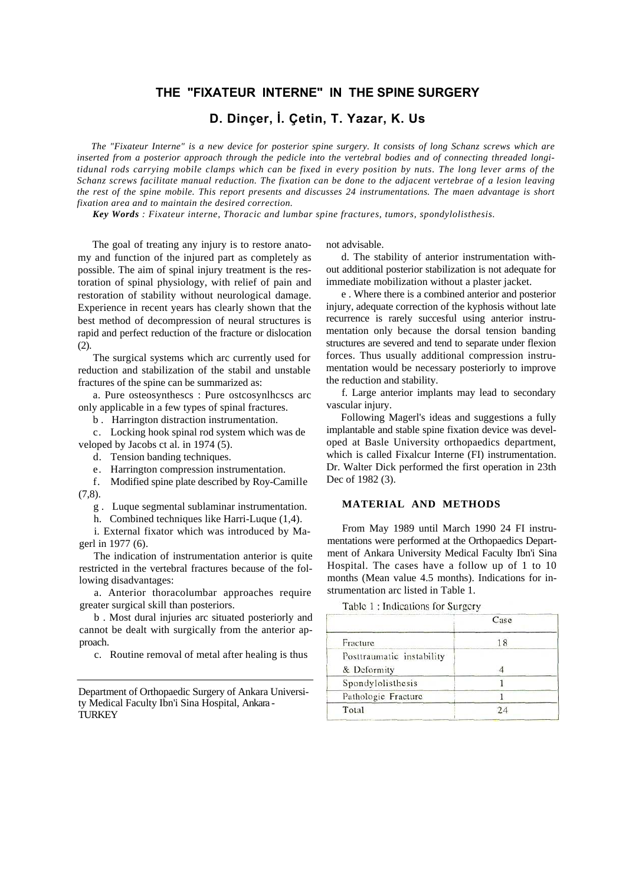# **THE "FIXATEUR INTERNE" IN THE SPINE SURGERY**

**D. Dinçer, İ. Çetin, T. Yazar, K. Us**

*The "Fixateur Interne" is a new device for posterior spine surgery. It consists of long Schanz screws which are inserted from a posterior approach through the pedicle into the vertebral bodies and of connecting threaded longitidunal rods carrying mobile clamps which can be fixed in every position by nuts. The long lever arms of the Schanz screws facilitate manual reduction. The fixation can be done to the adjacent vertebrae of a lesion leaving the rest of the spine mobile. This report presents and discusses 24 instrumentations. The maen advantage is short fixation area and to maintain the desired correction.*

*Key Words : Fixateur interne, Thoracic and lumbar spine fractures, tumors, spondylolisthesis.*

The goal of treating any injury is to restore anatomy and function of the injured part as completely as possible. The aim of spinal injury treatment is the restoration of spinal physiology, with relief of pain and restoration of stability without neurological damage. Experience in recent years has clearly shown that the best method of decompression of neural structures is rapid and perfect reduction of the fracture or dislocation (2).

The surgical systems which arc currently used for reduction and stabilization of the stabil and unstable fractures of the spine can be summarized as:

a. Pure osteosynthescs : Pure ostcosynlhcscs arc only applicable in a few types of spinal fractures.

b . Harrington distraction instrumentation.

c. Locking hook spinal rod system which was de veloped by Jacobs ct al. in 1974 (5).

d. Tension banding techniques.

e. Harrington compression instrumentation.

f. Modified spine plate described by Roy-Camille  $(7.8)$ .

g . Luque segmental sublaminar instrumentation.

h. Combined techniques like Harri-Luque (1,4).

i. External fixator which was introduced by Magerl in 1977 (6).

The indication of instrumentation anterior is quite restricted in the vertebral fractures because of the following disadvantages:

a. Anterior thoracolumbar approaches require greater surgical skill than posteriors.

b . Most dural injuries arc situated posteriorly and cannot be dealt with surgically from the anterior approach.

c. Routine removal of metal after healing is thus

Department of Orthopaedic Surgery of Ankara University Medical Faculty Ibn'i Sina Hospital, Ankara - **TURKEY** 

not advisable.

d. The stability of anterior instrumentation without additional posterior stabilization is not adequate for immediate mobilization without a plaster jacket.

e . Where there is a combined anterior and posterior injury, adequate correction of the kyphosis without late recurrence is rarely succesful using anterior instrumentation only because the dorsal tension banding structures are severed and tend to separate under flexion forces. Thus usually additional compression instrumentation would be necessary posteriorly to improve the reduction and stability.

f. Large anterior implants may lead to secondary vascular injury.

Following Magerl's ideas and suggestions a fully implantable and stable spine fixation device was developed at Basle University orthopaedics department, which is called Fixalcur Interne (FI) instrumentation. Dr. Walter Dick performed the first operation in 23th Dec of 1982 (3).

## **MATERIAL AND METHODS**

From May 1989 until March 1990 24 FI instrumentations were performed at the Orthopaedics Department of Ankara University Medical Faculty Ibn'i Sina Hospital. The cases have a follow up of 1 to 10 months (Mean value 4.5 months). Indications for instrumentation arc listed in Table 1.

Table 1: Indications for Surgery

|                           | Case |  |
|---------------------------|------|--|
| Fracture                  | 18   |  |
| Posttraumatic instability |      |  |
| & Deformity               |      |  |
| Spondylolisthesis         |      |  |
| Pathologic Fracture       |      |  |
| Total                     | 24   |  |
|                           |      |  |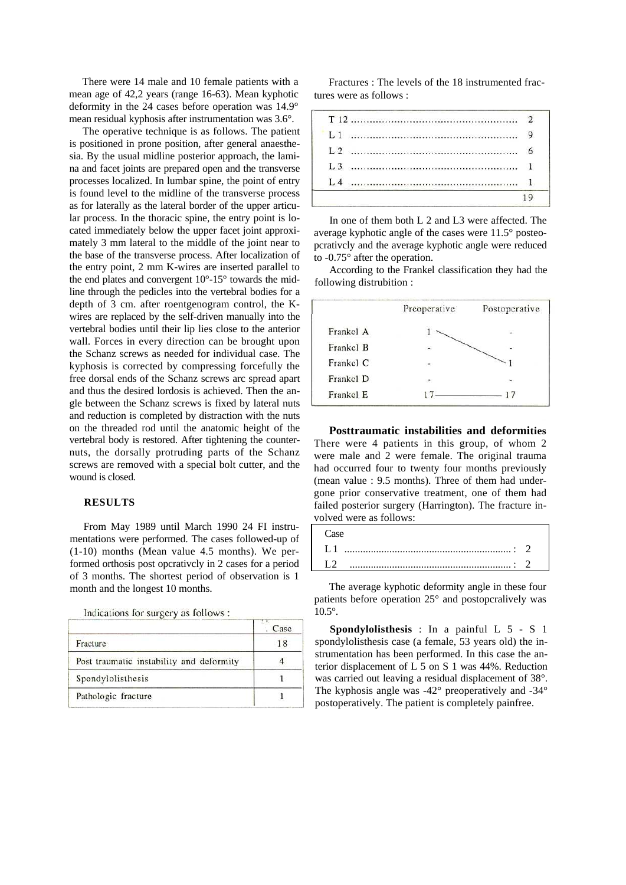There were 14 male and 10 female patients with a mean age of 42,2 years (range 16-63). Mean kyphotic deformity in the 24 cases before operation was 14.9° mean residual kyphosis after instrumentation was 3.6°.

The operative technique is as follows. The patient is positioned in prone position, after general anaesthesia. By the usual midline posterior approach, the lamina and facet joints are prepared open and the transverse processes localized. In lumbar spine, the point of entry is found level to the midline of the transverse process as for laterally as the lateral border of the upper articular process. In the thoracic spine, the entry point is located immediately below the upper facet joint approximately 3 mm lateral to the middle of the joint near to the base of the transverse process. After localization of the entry point, 2 mm K-wires are inserted parallel to the end plates and convergent 10°-15° towards the midline through the pedicles into the vertebral bodies for a depth of 3 cm. after roentgenogram control, the Kwires are replaced by the self-driven manually into the vertebral bodies until their lip lies close to the anterior wall. Forces in every direction can be brought upon the Schanz screws as needed for individual case. The kyphosis is corrected by compressing forcefully the free dorsal ends of the Schanz screws arc spread apart and thus the desired lordosis is achieved. Then the angle between the Schanz screws is fixed by lateral nuts and reduction is completed by distraction with the nuts on the threaded rod until the anatomic height of the vertebral body is restored. After tightening the counternuts, the dorsally protruding parts of the Schanz screws are removed with a special bolt cutter, and the wound is closed.

## **RESULTS**

From May 1989 until March 1990 24 FI instrumentations were performed. The cases followed-up of (1-10) months (Mean value 4.5 months). We performed orthosis post opcrativcly in 2 cases for a period of 3 months. The shortest period of observation is 1 month and the longest 10 months.

| Indications for surgery as follows : |  |  |  |
|--------------------------------------|--|--|--|
|                                      |  |  |  |

|                                          | Case |
|------------------------------------------|------|
| Fracture                                 | 18   |
| Post traumatic instability and deformity |      |
| Spondylolisthesis                        |      |
| Pathologic fracture                      |      |

Fractures : The levels of the 18 instrumented fractures were as follows :

In one of them both L 2 and L3 were affected. The average kyphotic angle of the cases were 11.5° posteopcrativcly and the average kyphotic angle were reduced to -0.75° after the operation.

According to the Frankel classification they had the following distrubition :

| Preoperative | Postoperative |
|--------------|---------------|
|              |               |
|              |               |
|              |               |
|              |               |
|              | $\frac{1}{2}$ |
|              |               |

**Posttraumatic instabilities and deformities**  There were 4 patients in this group, of whom 2 were male and 2 were female. The original trauma had occurred four to twenty four months previously (mean value : 9.5 months). Three of them had undergone prior conservative treatment, one of them had failed posterior surgery (Harrington). The fracture involved were as follows:

| L2 |  |  |  |  |
|----|--|--|--|--|

The average kyphotic deformity angle in these four patients before operation 25° and postopcralively was 10.5°.

**Spondylolisthesis** : In a painful L 5 - S 1 spondylolisthesis case (a female, 53 years old) the instrumentation has been performed. In this case the anterior displacement of L 5 on S 1 was 44%. Reduction was carried out leaving a residual displacement of 38°. The kyphosis angle was -42° preoperatively and -34° postoperatively. The patient is completely painfree.